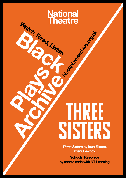# **National<br>Theatre** Watch, Read, Listen Joseph Bankswitchers of Orient

# IHKH SISTERS

*Three Sisters* by Inua Ellams, after Chekhov.

Schools' Resource by mezze eade with NT Learning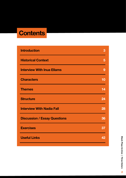# **Contents**

| <b>Introduction</b>                 | З  |
|-------------------------------------|----|
| <b>Historical Context</b>           | 5  |
| <b>Interview With Inua Ellams</b>   | 9  |
| <b>Characters</b>                   | 10 |
| <b>Themes</b>                       | 14 |
| <b>Structure</b>                    | 24 |
| <b>Interview With Nadia Fall</b>    | 28 |
| <b>Discussion / Essay Questions</b> | 36 |
| <b>Exercises</b>                    | 37 |
| <b>Useful Links</b>                 | 42 |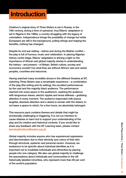# Introduction

Chekhov's original story of *Three Sisters* is set in Russia, in the 19th century, during a time of upheaval. Inua Ellams' adaptation is set in Nigeria in the 1960s, a country struggling with the legacy of colonialism. Independence brings the possibility of change but white Europeans are still in the background, pulling strings and reaping the benefits, nothing has changed.

Despite its civil war setting – before and during the Biafran conflict – the play is full of humour, music and celebration. In placing Nigerian history centre stage, Ellams' adaptation is shining a light on the importance of African and global majority stories in understanding the history – and present – of Britain. British culture, society and economics wouldn't be what they are without Africa's vast and varied peoples, countries and resources.

Having watched many incredible shows in the different theatres at NT, watching *Three Sisters* was a remarkable experience – a combination of the play (the writing and its setting), the excellent performances by the cast and the majority black audience. The performance reached into every space in the auditorium, washing the audience with languorous waves, electric ripples and tense stillness – grabbing attention in every moment. The audience responded with joyous laughter, absolute attention and a desire to remain with the sisters; to not leave a space to which, for a few hours, we absolutely belonged.

This resource pack contains themes and details that might be emotionally challenging or triggering. It is not our intention to cause distress or harm but to support your understanding of the play and its creative and historical contexts. If you would like to share any feedback with the NT Learning team, please contact [learning@nationaltheatre.org.uk](mailto:learning%40nationaltheatre.org.uk?subject=)

Global majority includes anyone who has experienced oppression and discrimination due to their ethnicity and colour of their skin through structural, systemic and personal racism. However, we endeavour to be specific about individual identities as it is important not to invalidate individuals and ethnicities by placing people into one category. We also use global majority to challenge the assumptions about individuals and communities in the UK historically labelled minorities, who represent more than 80 per cent of the world's population.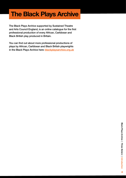# The Black Plays Archive

The Black Plays Archive supported by Sustained Theatre and Arts Council England, is an online catalogue for the first professional production of every African, Caribbean and Black British play produced in Britain.

You can find out about more professional productions of plays by African, Caribbean and Black British playwrights in the Black Plays Archive here: [blackplaysarchive.org.uk](http://blackplaysarchive.org.uk)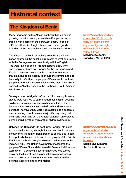# Historical context

## The Kingdom of Benin

Many kingdoms on the African continent had come and gone by the 15th century when white Europeans began trading with people on the northwest coast. People of different ethnicities fought, thrived and traded goods, including in the geographical area now known as Nigeria.

The Kingdom of Benin stretching from the Niger Delta to Lagos controlled the coastline from east to west and traded with the Portuguese, and eventually with the English. The Oba – king of Benin – traded pepper, cloth, ivory and people for brass and copper. As the Portuguese and English merchants were unable to travel further inland at that time, due to an inability to endure the climate and poor immunity to infection, the people of Benin would capture people from other African ethnicities who were then taken across the Atlantic Ocean to the Caribbean, South America and America.

Slavery existed in Nigeria before the 15th century, however slaves were required to carry out domestic tasks, become soldiers or serve as eunuchs in a hareem. It is foolish to believe slaves were always treated fairly and were never punished, however, they were not classified as a separate race, equating them to animals to justify degrading and inhumane treatment. On the African continent an enslaved person could buy their own or their children's freedom.

Between the 16th and 19th centuries, Portugal struggled to maintain its trading strongholds and empire. In the 19th century the Kingdom of Benin began to shrink, due in part to disputes between chiefs and to the growth of the British Empire as the British sought to extend their control in the region. In 1897, the British government massacred the people of Benin City and destroyed it. Several justifications were given – a peaceful government envoy was turned away by the king of Benin, a peaceful missionary envoy was attacked – but the motivation was profit from the growing trade of palm oil and rubber.

[https://www.theguardian.](https://www.theguardian.com/cities/2016/mar/18/story-of-cities-5-benin-city-edo-nigeria-mighty-medie) [com/cities/2016/mar/18/](https://www.theguardian.com/cities/2016/mar/18/story-of-cities-5-benin-city-edo-nigeria-mighty-medie) [story-of-cities-5-benin](https://www.theguardian.com/cities/2016/mar/18/story-of-cities-5-benin-city-edo-nigeria-mighty-medie)[city-edo-nigeria-mighty](https://www.theguardian.com/cities/2016/mar/18/story-of-cities-5-benin-city-edo-nigeria-mighty-medie)[medieval-capital-lost](https://www.theguardian.com/cities/2016/mar/18/story-of-cities-5-benin-city-edo-nigeria-mighty-medie)[without-trace](https://www.theguardian.com/cities/2016/mar/18/story-of-cities-5-benin-city-edo-nigeria-mighty-medie)  Mawuna Koutonin, Guardian, March 2016

[https://www.britishmuseum.](https://www.britishmuseum.org/about-us/british-museum-story/contested-objects-collection/benin-bronz) [org/about-us/british](https://www.britishmuseum.org/about-us/british-museum-story/contested-objects-collection/benin-bronz)[museum-story/contested](https://www.britishmuseum.org/about-us/british-museum-story/contested-objects-collection/benin-bronz)[objects-collection/benin](https://www.britishmuseum.org/about-us/british-museum-story/contested-objects-collection/benin-bronz)[bronzes](https://www.britishmuseum.org/about-us/british-museum-story/contested-objects-collection/benin-bronz)  British Museum and the Benin Bronzes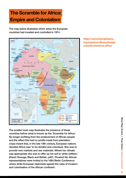# The Scramble for Africa: Empire and Colonialism

The map below illustrates which areas the European countries had invaded and controlled in 1914.



The smaller inset map illustrates the presence of these countries before what is known as the 'Scramble for Africa'. No longer profiting from the enslavement of African people and the effect this had on profits made from plantation crops meant that, in the late 19th century, European nations decided Africa was 'to be divided and colonised. She was to provide new markets and raw materials. Where her climate was appropriate she was to offer up her soil to white settlers.' (David Olusoga, Black and British, p401, Picador) No African representatives were invited to the 1884 Berlin Conference where white European diplomats agreed the rules of invasion and colonisation of the African continent.

[https://www.facinghistory.](https://www.facinghistory.org/resource-library/image/colonial-presence-africa) [org/resource-library/image/](https://www.facinghistory.org/resource-library/image/colonial-presence-africa) [colonial-presence-africa](https://www.facinghistory.org/resource-library/image/colonial-presence-africa)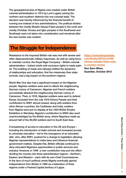The geographical area of Nigeria was created under British colonial administration in 1914 by Lord Lugard, joining the northern and southern districts into one colonial state. The decision was heavily influenced by the financial benefit of running one instead of two administrations. The political divides between the mostly Muslim Hausa-Fulani people in the north and mostly Christian Yoruba and Igbo peoples in the Southwest and Southeast were not taken into consideration and remained after the new border was created.

### The Struggle for Independence

Resistance to the imposed British rule was met with severe and often disproportionate military responses. As well as using force to maintain control, the Royal Niger Company – British colonial administration – bribed chiefs with exclusive rights to trade palm oil. The building of roads and railways shifted the dynamics of relationships and education, first the missionary then state schools, had a big impact on the southern regions.

World War One also had a significant impact on the Nigerian people. Nigerian soldiers were sent to attack the neighbouring German colony of Cameroon. Nigerian and French soldiers successfully attacked the neighbouring German colony of Cameroon. Then, in 1916, Nigerian soldiers were sent to defend Kenya. Excluded from the July 1919 Victory Parade and their contribution to WW1 almost erased, along with soldiers from other African countries, the Caribbean and India, soldiers from Nigeria were put on display at the 1924 British Empire Exhibition in Wembley. Nigeria's contribution to WW2 also went unacknowledged by the British army, where Nigerians made up around half of the 90,000 soldiers sent to South East Asia.

A broadening of access to education in the UK and Europe – including the introduction of state schools and increased access to university education – led to the emergence of an educated elite who, after WW1, pushed for a change to legislation allowing Nigerian representatives to make laws and influence financial government matters. Despite this, British officials continued to deny educated Nigerians opportunities in public services and industry. However, in 1946 a new constitution was put into effect dividing the country into three administrative regions – Northern, Eastern and Western – each with its own Chief Commissioner. In the face of much political unrest Nigeria eventually gained independence from Britain in 1960 as a federation of three regions under a Federal Capital territory of Lagos.

[https://www.theguardian.](https://www.theguardian.com/books/2012/oct/05/chinua-achebe-there-was-a-country-review) [com/books/2012/oct/05/](https://www.theguardian.com/books/2012/oct/05/chinua-achebe-there-was-a-country-review) [chinua-achebe-there-was](https://www.theguardian.com/books/2012/oct/05/chinua-achebe-there-was-a-country-review)[a-country-review](https://www.theguardian.com/books/2012/oct/05/chinua-achebe-there-was-a-country-review) Noo Saro-Wiwa, Guardian, October 2012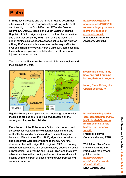

In 1966, several coups and the killing of Hausa government officials resulted in the massacre of Igbos living in the north and their flight to the South East. In 1967 under Colonel Odumegwu Ojukwu, Igbos in the South East founded the Republic of Biafra. Nigeria rejected the attempt at secession and a civil war began. By 1968 much of Biafra was in the grip of famine as a result of blockades set up by the Nigerian military. Biafra eventually surrendered in January 1970 after over one million (the exact number is unknown, some estimate three million) people were brutally killed, died from mortal injuries or starved to death.

[https://www.aljazeera.](https://www.aljazeera.com/opinions/2020/5/30/remembering-my-fathers-biafra-the-politics-of-erasing-h) [com/opinions/2020/5/30/](https://www.aljazeera.com/opinions/2020/5/30/remembering-my-fathers-biafra-the-politics-of-erasing-h) [remembering-my-fathers](https://www.aljazeera.com/opinions/2020/5/30/remembering-my-fathers-biafra-the-politics-of-erasing-h)[biafra-the-politics-of](https://www.aljazeera.com/opinions/2020/5/30/remembering-my-fathers-biafra-the-politics-of-erasing-h)[erasing-history-2](https://www.aljazeera.com/opinions/2020/5/30/remembering-my-fathers-biafra-the-politics-of-erasing-h)  Innocent Chizaram Ilo, Aljazeera, May 2020

The map below illustrates the three administrative regions and the Republic of Biafra.



Nigeria's history is complex, and we encourage you to follow the links to articles and to do your own research on the country and its peoples' histories.

From the end of the 19th century, British rule was imposed across a vast area with many different social, cultural and political beliefs and practices and with different religious beliefs at different times. From 1960, Nigeria's external trade and economics were largely bound to the UK. After the discovery of oil in the Niger Delta region in 1965, the country shifted from agriculture and became heavily dependent on its oil production. Igbo, Yoruba and Hausa-Fulani and the many other ethnicities in the country and around the world are still dealing with the impact of British rule and UK's political and economic influence.

 'If you stick a knife in my back and pull it out nine inches, that's not progress.'

Nmeri, *Three Sisters*, p73, Oberon Books 2019

https://www.theguardian. com/commentisfree/2020/ jan/21/buried-50-yearsbritain-shamesful-rolebiafran-war-frederickforsyth

Frederick Forsyth, Guardian, January 2020

Watch Inua Ellams' short interview with the BBC introducing the play and political context.

https://www.bbc. co.uk/news/av/worldafrica-51153871 BBC, January 2020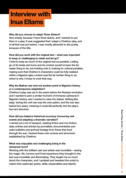# Interview with Inua Ellams

#### Why did you choose to adapt *Three Sisters* ?

Very simply, because I have three sisters, and I wanted to put them in a play. It was suggested that I adapt a Chekhov play, and of all that was put before, I was mostly attracted to this purely because of the title.

#### How did you work with the original text – what was important to keep or challenging to retain and let go?

I tried to keep as much of the original text as possible. Letting go of its twists and turns and its context would've been the far easier thing to do, but holding onto it, looking for cultural parallels, making sure that Chekhov's characters could be fully realised within a Nigerian Igbo context was the far trickier thing to do, which is why I chose to work that way.

#### Why the Biafran war and not another point in Nigeria's history or a contemporary adaptation?

Chekhov's play was set in the years before the Russian revolution and I wanted to pick a similar moment of immense upheaval in Nigeria's history, and I wanted to raise the stakes. Setting [the play] during the civil war was the only option, and the war also lasted four years, meaning it could fall perfectly into the play's four-act structure.

#### How did you balance historical accuracy, honouring real events and adapting a dramatic narrative?

I carried out a lot of research, reading fiction and non-fiction, diary entries and articles by journalists, documentaries and radio bulletins and archival footage from those that lived through the war. I tacked these onto scenes and structures established by Chekhov.

#### What was enjoyable and challenging being in the rehearsal room?

Working with the brilliant cast and artists was incredible – seeing the magic, life, humour and lived experience they brought to the text was incredible and illuminating. They taught me so much about the characters, and I updated and tweaked the script to match their particular quirks, skills, physicalities and talents.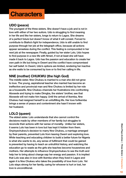# **Characters**

#### UDO (peace)

The youngest of the three sisters. She doesn't have a job and is not in love with either of her two suitors. Udo is struggling to find meaning in her life and like her sisters, longs to return to Lagos. She dreams of a perfect future but doesn't know of what it will consist. Forced to contribute to Biafra's fight for independence, Udo is still unable to find purpose through her job at the telegraph office, because all actions appear senseless during the conflict. This feeling is compounded in her next job at the newspaper. Finally, guided by her sister Lolo, Udo hopes to find purpose in a new life with Nmeri, if not at least she will have made it back to Lagos. Udo has the passion and education to create her own path in life but living in Owerri and the conflict have compromised her self belief. In Owerri, Udo's options are limited, rendering her inactive as she waits to be consumed by love or to find her calling in life.

#### NNE (mother) CHUKWU (the high God)

The middle sister. Nne Chukwu is married to a man she did not grow to love. The young, aspirational teacher she married has become an ineffective and provincial man and Nne Chukwu is limited by her role as a housewife. Nne Chukwu channels her frustrations into confronting Abosede and trying to make Dimgba, the sisters' brother, see that Abosede will not make him happy. Until the arrival of Ikemba, Nne Chukwu had resigned herself to an unfulfilling life. Her love forIkemba brings a sense of peace and contentment she hasn't known with her husband.

#### LOLO (queen)

The eldest sister. Lolo understands that she cannot control the decisions made by other members of her family but struggles to reconcile their actions with her sense of morality. Unlike her sisters, it seems Lolo has been in love but has kept it hidden from them. Onyinyechukwu's decision to marry Nne Chukwu, a marriage arranged by their parents, prevented Lolo from leaving Owerri and exploring love. While teaching and educating children to build a better future for Nigeria is what she wants to do, any sense of fulfilment that could be gained is prevented by having to teach an untruthful history, and watching the education go to waste as the girls she teaches become housewives and mothers. Her attempts to influence Onyinyechukwu to see the truth and help her to bring about change sap her energy and passion. It is implied that Lolo was also in love with Ikemba when they lived in Lagos and again it is Nne Chukwu who takes the possibility of love from Lolo. Yet Lolo stays strong for her family, caring for whoever is hurt or lost, her love is unconditional.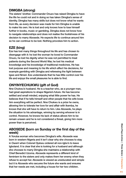#### DIMGBA (strong)

The sisters' brother. Commander Onuzo has raised Dimgba to have the life he could not and in doing so has taken Dimgba's sense of identity. Dimgba has many skills but does not know what he wants from life, as every decision was made for him Dimgba is unable to make his own. He is lost and only knows how to lose himself further in books, music or gambling. Dimgba does not know how to navigate relationships and does not realise the foolishness of his decision to marry Abosede. He expects life to continue around him so he can continue to be lost. Nothing provokes him to action.

#### EZE (king)

Eze has lost many things throughout his life and has chosen to disengage with it: he lost the woman he loved to Commander Onuzo, he lost his dignity when he was not permitted to treat patients during the Second World War, he lost his medical knowledge and his knowledge of traditional medicines. He has lost purpose and meaning to his life which affect his decisions, for example gambling with Dimgba and refereeing the fight between Igwe and Nmeri. Eze understands that he has little control over his life and enjoys the small pleasures he is able to find.

#### ONYINYECHUKWU (gift of God)

Nne Chukwu's husband. He is a teacher who, as a younger man, had great aspirations to shape Nigeria's future. He has become settled and small minded, enjoying what little power he has. He believes that if he tells himself and other people that his wife loves him everything will be perfect. Nne Chukwu is a prize he owns, allowing him to tolerate her love for and affair with Ikemba, he knows that she will have to return to him. Like Abosede, he plays the situation to his advantage, winning by serving whoever is in control. However, he knows his lack of status allows him to be remain unseen and he is not considered a threat, giving him more power than is perceived.

#### ABOSEDE (born on Sunday or the first day of the week)

A Yoruba woman who becomes Dimgba's wife. Abosede was born in western Nigeria and it isn't clear why she chooses to stay in Owerri when Colonel Ojukwu ordered all non-Igbo's to leave Igboland. It is clear that she is looking for a husband and although she chooses to marry Dimgba she maintains a relationship with Chief Benedict Uzoma. Abosede represents a different kind of feminism to the sisters and only makes them her enemy when they refuse to accept her. Abosede is viewed as uneducated and simple but it is Abosede who secures the future she wants and ensures that her needs are met, including a house for her two children.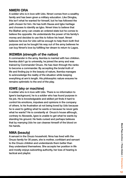#### NMERI ORA

A soldier who is in love with Udo. Nmeri comes from a wealthy family and has been given a military education. Like Dimgba, this isn't what he wanted for himself, but he has followed the path chosen for him. He has both Hausa and Igbo heritage and chooses to identify as Igbo. Nmeri tries to believe that the Biafran army can create an ordered state but he comes to believe the opposite. He understands the power of his family's money and decides to use this to follow his heart. Nmeri believes his love for Udo will be enough to help them both find purpose and as he bought his way out of the army believes he can buy Nmeri's love by fulfilling her dream to return to Lagos.

#### IKEMBA (strength of the nation)

A commander in the army. Ikemba is married with two children. Ikemba didn't go to university, he joined the army and was trained by Commander Onuzo. He has risen through the ranks to become a commander. By accepting the brutal truth of life and finding joy in the beauty of nature, Ikemba manages to acknowledge the reality of the situation while keeping everything at arm's length. His philosophic nature ensures he remains optimistic to the end of the play.

#### IGWE (sky or machine)

A soldier who is in love with Udo. There is no information to Igwe's background, he is a soldier who has found purpose in his job. He is knowledgeable and skilled yet finds it hard to control his emotions, impulses and opinions in the company of others. Is his frustration at not being loved by Udo because he is used to getting what he wants or because he never gets what he wants? He is constantly at Onuzo's house although, contrary to Abosede, Igwe is unable to get what he wants by standing his ground. He feels cursed and perhaps believes that by marrying Udo he can cleanse himself of the blood on his hands.

#### NMA (beauty)

A servant in the Onuzo household. Nma has lived with the Onuzo family for 30 years, she is mother, confidant and servant to the Onuzo children and understands them better than they understand themselves. She accepts her position in life and mostly enjoys subverting authority, her loss of hearing is tactical and playful.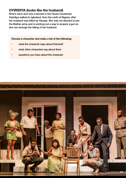#### OYIRIDIYA (looks like the husband)

Nma's niece and now a servant in the Onuzo household. Oyiridiya walked to Igboland, from the north of Nigeria, after her husband was killed by Hausas. She was not allowed to join the Biafran army and is working out a way to acquire a gun so she can revenge the killing of her husband.

Choose a character and make a list of the following:

- what the character says about themself
- what other characters say about them
- questions you have about the character

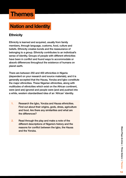# Themes

## Nation and Identity

#### **Ethnicity**

Ethnicity is learned and acquired, usually from family members, through language, customs, food, culture and beliefs. Ethnicity creates bonds and the reassurance of belonging to a group. Ethnicity contributes to an individual's sense of identity. Groups of people with different ethnicities have been in conflict and found ways to accommodate or absorb differences throughout the existence of humans on planet earth.

There are between 250 and 400 ethnicities in Nigeria (dependent on your research and source materials), and it is generally accepted that the Hausa, Yoruba and Igbo constitute the major ethnicities. These Nigerian ethnicities, along with multitudes of ethnicities which exist on the African continent, were (and are) ignored and people were (and are) pushed into a white, western standardised idea of an 'African' identity.

- 1. Research the Igbo, Yoruba and Hausa ethnicities. Find out about their origins, gods, dress, agriculture and food. Are there any similarities and what are the differences?
- 2. Read through the play and make a note of the different descriptions of Nigeria's history and the reasons for conflict between the Igbo, the Hausa and the Yoruba.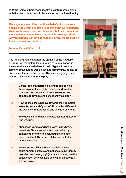In *Three Sisters* ethnicity and identity are interrogated along with the idea of what constitutes a nation and national identity.

 'We laugh at some of the traditional beliefs of our parents because the British educated us to think they were barbaric. We know basic science and philosophy but have not united them with our culture. We've forgotten those ways. That's why this political upheaval is happening, why we are hurtling towards chaos and oblivion.'

#### Ikemba, *Three Sisters*, p14

The Igbo characters support the creation of the Republic of Biafra, yet the sisters long to return to Lagos. Lagos, if the secession succeeded would be in Nigeria, in Yoruba territory. 1960s Lagos was a busy and rapidly growing city of commerce, literature and music. The sisters enjoy Igbo and western music throughout the play.

- 1. Do the Igbo characters hold, or struggle to hold, these two identities – Igbo heritage and western educated cosmopolitan ideals? How does this compare to Nmeri's choice to identify as Igbo?
- 2. How do the sisters behave towards their domestic servants, Nma and Oyiridiya? How is this different to the way they treat Abosede and why is it different?
- 3. Why does Ikemba's lack of education not matter to Nne Chukwu?
- 4. Abosede is Yoruba and has grown up in Owerri. How does Abosede's education and ethnicity compare to the sisters' background? and how does this affect Abosede's relationship with the other characters?
- 5. How does Inua Ellams draw parallels between contemporary conflicts and notions around identity, migration and belonging? (If you are unsure, use the conversation between Lolo and Nmeri on p39 as a starting point).

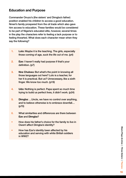#### Education and Purpose

Commander Onuzo's (the sisters' and Dimgba's father) position enabled his children to access a good education. Nmeri's family prospered from the oil trade which also gave him access to education. These families would be considered to be part of Nigeria's educated elite, however, several times in the play the characters refer to feeling a lack purpose or to feeling thwarted. What does each character mean when they say the following?

- 1. Lolo: Maybe it is the teaching. The girls, especially those coming of age, suck the life out of me. (p4)
- 2. Eze: I haven't really had purpose if that's your definition. (p7)
- 3. Nne Chukwu: But what's the point in knowing all those languages out here? Lolo is a teacher, for her it is practical. But us? Unnecessary, like a sixth finger. We know too much. (p19)
- 4. Udo: Nothing is perfect. Papa spent so much time trying to build us perfect lives, it didn't work. (p24)
- 5. Dimgba: …Uncle, we have no control over anything, and to believe otherwise is to embrace downfall… (p70)
- 6. What similarities and differences are there between Eze and Dimgba?
- How does his father's choice for the family to live in Owerri affect Dimgba's identity?
- How has Eze's identity been affected by his education and serving with white British soldiers in WW2?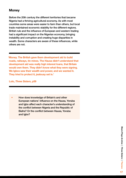#### **Money**

Before the 20th century the different territories that became Nigeria had a thriving agricultural economy. As with most countries some areas were easier to farm than others, but local trade maintained economic stability for the different regions. British rule and the influence of European and western trading had a significant impact on the Nigerian economy, bringing instability and corruption and creating huge disparities in wealth. Some characters are aware of these influences, while others are not.

 'Money. The British gave them development aid to build roads, railways, tin mines. The Hausa didn't understand that development aid was really high interest loans, that Britain would own them. They didn't know what they were signing. We Igbos saw their wealth and power, and we wanted it. They tried to protect it, jealousy set in.'

Lolo, *Three Sisters*, p59

• How does knowledge of Britain's and other European nations' influence on the Hausa, Yoruba and Igbo affect each character's understanding of the conflict between Nigeria and the Republic of Biafra? Or the conflict between Hausa, Yoruba and Igbo?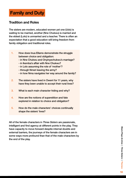## Family and Duty

#### Tradition and Roles

The sisters are modern, educated women yet one (Udo) is waiting to be married, another (Nne Chukwu) is married and the eldest (Lolo) is unmarried and a teacher. There is often an expectation that a good education will bring freedom from family obligation and traditional roles.

- 1. How does Inua Ellams demonstrate the struggle between choice and obligation:
	- in Nne Chukwu and Onyinyechukwu's marriage?
	- in Ikemba's affair with Nne Chukwu?
	- in Lolo assuming the role of 'mother'?
	- through Nmeri leaving the army?
	- in how Nma navigates her way around the family?
- 2. The sisters have lived in Owerri for 11 years, why have they been unable to accept their rural lives?
- 3. What is each main character hiding and why?
- 4. How are the notions of superstition and fate explored in relation to choice and obligation?
- 5. How do the male characters' choices continually shape the sisters' lives?

All of the female characters in *Three Sisters* are passionate, intelligent and find agency at different points in the play. They have capacity to move forward despite internal doubts and external barriers, the journeys of the female characters are in some ways more profound than that of the male characters by the end of the play.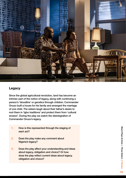

#### Legacy

Since the global agricultural revolution, land has become an intrinsic part of the notion of legacy, along with continuing a person's 'bloodline' or genetics through children. Commander Onuzo built a house for his family and arranged the marriage of one child. The sisters laugh about their father's desire to root them in 'Igbo traditions' and protect them from 'cultural erosion'. During the play we watch the disintegration of Commander Onuzo's legacy.

- 1. How is this represented through the staging of each act?
- 2. Does the play make any comment about Nigeria's legacy?
- 3. Does the play affect your understanding and ideas about legacy, obligation and choice? Or how does the play reflect current ideas about legacy, obligation and choice?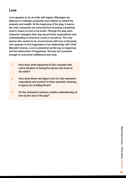#### Love

Love appears to be at odds with legacy. Marriages are alliances to maintain prosperity and children to inherit the property and wealth. At the beginning of the play, it seems the main characters are removed from knowing completely what it means to love or be loved. Through the play each character navigates their way around their expectations and understanding of what love could or should be. The only person who seems to be unconcerned with love is Abosede, who appears to find happiness in her relationship with Chief Benedict Uzoma. Love is presented as the key to happiness and the destruction of happiness. Yet love isn't powerful enough to overcome indifference and duty.

- 1. How does what happened to Eze compare with Lolo's situation of losing the person she loves to her sister?
- 2. How does Nmeri and Igwe's love for Udo represent masculinity and control? Is there symbolic meaning in Igwe's act of killing Nmeri?
- 3. Do the characters achieve a better understanding of love by the end of the play?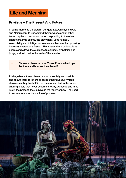## Life and Meaning

#### Privilege – The Present And Future

In some moments the sisters, Dimgba, Eze, Onyinyechukwu and Nmeri seem to understand their privilege and at other times they lack compassion when responding to the other characters. Inua Ellams, the playwright, uses humour, vulnerability and intelligence to make each character appealing but every character is flawed. This makes them believable as people and allows the audience to connect, empathise and judge, and to invest in the truth of the situation.

• Choose a character from *Three Sisters*, why do you like them and how are they flawed?

Privilege binds these characters to be socially responsible and allows them to ignore or escape their duties. Privilege also means they live half in the present and half in the future, chasing ideals that never become a reality. Abosede and Nma live in the present, they survive in the reality of now. The need to survive removes the choice of purpose.

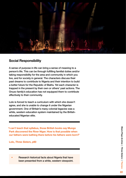

#### Social Responsibility

A sense of purpose in life can bring a sense of meaning to a person's life. This can be through fulfilling familial duties and/or taking responsibility for the area and community in which you live, and for society in general. The characters discuss their past dreams to contribute to Nigeria and their intention to build a better future for the Republic of Biafra. Yet each character is trapped in the present by their own or others' past actions. The Onuzo family's education has not equipped them to contribute effectively to their community.

Lolo is forced to teach a curriculum with which she doesn't agree, and she is unable to change it under the Nigerian government. One of Britain's many colonial legacies was a white, western education system maintained by the Britisheducated Nigerian elite.

 'I can't teach that syllabus, those British books say Mungo Park discovered the River Niger. How is that possible when our fathers were bathing there before his fathers were born?'

Lolo, *Three Sisters*, p60

Research historical facts about Nigeria that have been presented from a white, western viewpoint.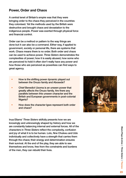#### Power, Order and Chaos

A central tenet of Britain's empire was that they were bringing order to the chaos they perceived in the countries they colonised. Yet the methods used by the British were destructive and brought chaos and devastation to the indigenous people. Power was exerted through physical force and financial control.

Order can be a method or pattern to the way things are done but it can also be a command. Either way, if applied to government, society or personal life, there are systems that work. Chaos means there is no order. Both order and chaos can be used to achieve power. *Three Sisters* demonstrates the complexities of power; how it is easily abused, how some who are perceived to hold it often don't really have any power and how those who are perceived as powerless can find ways to great agency.

- How is the shifting power dynamic played out between the Onuzo family and Abosede?
- Chief Benedict Uzoma is an unseen power that greatly affects the Onuzo family. Are there any parallels between this unseen character and the British and European governments in post-colonial Nigeria?
- How does the character Igwe represent both order and chaos?

Inua Ellams' *Three Sisters* skilfully presents how we are knowingly and unknowingly shaped by history and how we are constantly balancing internal and external forces. All of the characters in *Three Sisters* reflect the complexity, confusion and joy of what it is to be human. Lolo, Nne Chukwu and Udo individually and collectively have a strength that carries them through the chaos; their energy and determination ensures their survival. At the end of the play, they are able to see themselves and know, free from the constraints and burdens of the men, they can rebuild their lives.

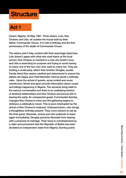# **Structure**

## Act 1

Owerri, Nigeria, 30 May 1967. *Three sisters*, Lolo, Nne Chukwu and Udo, sit outside the house built by their father, Commander Onuzo. It is Udo's birthday and the first anniversary of the death of Commander Onuzo.

The sisters aren't fully content with their seemingly ideal lives. Lolo doesn't agree with what she must teach at the local school, Nne Chukwu is married to a man she doesn't love, and Udo is searching for purpose and trying to avoid having to marry one of the two men who want to marry her. They are holding a small party, which their brother, Dimgba, avoids. Family friend Eze seems carefree and determined to ensure the sisters are happy and Chief Benedict Uzoma sends a birthday cake. Upon the arrival of guests, some invited and some unwelcome, Nmeri and Igwe provide information about coups and killings happening in Nigeria. The servants bring relief to the serious conversation but there is an underlying tension of strained relationships and Nne Chukwu announces she is leaving the party. An unexpected guest, Commander Ikemba, changes Nne Chukwu's mind and the gathering begins to embrace a celebratory mood. This is soon interrupted by the arrival of Nne Chukwu's husband, Onyinyechukwu, who brings a thoughtless birthday present. They move indoors to eat as the final guest, Abosede, arrives and who pretends to leave again immediately. Dimgba prevents Abosede from leaving with a proposal of marriage. Their news is overshadowed by a radio announcement that the Republic of Biafra has been declared an independent state from Nigeria. (turning point)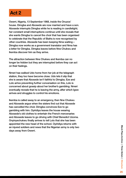## Act 2

Owerri, Nigeria, 13 September 1968, inside the Onuzos' house. Dimgba and Abosede are now married and have a son. Abosede interrupts Dimgba while he is reading in candlelight; her constant small interruptions continue until she reveals that she wants Dimgba to cancel the choir that has been organised to celebrate that the Republic of Biafra is now recognised by other countries. Abosede has been keeping Nma waiting – Dimgba now works as a government translator and Nma has a letter for Dimgba. Dimgba leaves before Nne Chukwu and Ikemba discover him as they arrive.

The attraction between Nne Chukwu and Ikemba can no longer be hidden but they are interrupted before they can act on their feelings.

Nmeri has walked Udo home from her job at the telegraph station, they too have become close. Udo lets it slip that she is aware that Abosede isn't faithful to Dimgba. Eze and Lolo arrive preventing further conversation on this, Lolo is concerned about gossip about her brother's gambling. Nmeri eventually reveals that he is leaving the army, after which Igwe arrives and struggles to control his emotions.

Ikemba is called away to an emergency, then Nne Chukwu and Abosede argue when the sisters find out that Abosede has cancelled the choir. Dimgba convinces Eze to go gambling with him. Oyiridiya leaves the house wearing Abosede's old clothes to entertain the French mercenaries and Abosede leaves to go driving with Chief Benedict Uzoma. Onyinyechukwu finally arrives to tell Lolo that she has been appointed the new head of the school. Oyiridiya returns with an injured soldiers and news that the Nigerian army is only two days away from Owerri.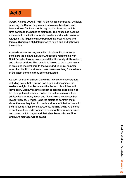## Act 3

Owerri, Nigeria, 20 April 1969. At the Onuzo compound, Oyiridiya is tearing the Biafran flag into strips to make bandages and Lolo and Nne Chukwu sort through a pile of clothes, which Nma carries to the house to distribute. The house has become a makeshift hospital for wounded soldiers and a safe haven for refugees. The Nigerians have bombed the local villages and forests. Oyiridiya is still determined to find a gun and fight with the soldiers.

Abosede arrives and argues with Lolo about Nma, who she considers too old and a burden. Abosede's relationship with Chief Benedict Uzoma has ensured that the family still have food and other provisions. Eze, unable to live up to the expectations of providing medical care to the wounded, is drunk on palm wine. Ikemba, Udo and Nmeri have been searching for survivors of the latest bombing; they enter exhausted.

As each character arrives, they bring news of the devastation, including news that Oyiridiya has a gun and has joined the soldiers to fight. Ikemba reveals that he and his soldiers will leave soon. Meanwhile Igwe cannot accept Udo's rejection of him as a potential husband. When the sisters are alone Lolo advises Udo to marry Nmeri and Nne Chukwu confesses her love for Ikemba. Dimgba joins the sisters to confront them about the way they treat Abosede and to admit that he has sold their house to Chief Benedict Uzoma. (turning point) At the end of act three, Lolo finds hope in the plan for Udo to marry Nmeri and move back to Lagos and that when Ikemba leaves Nne Chukwu's marriage will be saved.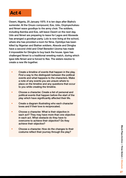## Act 4

Owerri, Nigeria, 25 January 1970. It is ten days after Biafra's surrender. At the Onuzo compound, Eze, Udo, Onyinyechukwu and Nmeri wave goodbye to the army choir. The soldiers, including Ikemba and Eze, will leave Owerri on the next day. Udo and Nmeri are preparing to leave for Lagos and Abosede has arranged a goodbye party. Lolo is now living at the school, where she has provided a room for Nma. Oyiridiya has been killed by Nigerian and Biafran soldiers. Absode and Dimgba have a second child and Chief Benedict Uzoma has made it impossible for Dimgba to buy back the house. Igwe has challenged Nmeri to a traditional wresting match, during which Igwe kills Nmeri and is forced to flee. The sisters resolve to create a new life together.

- Create a timeline of events that happen in the play. Find a way to the distinguish between the political events and what happens to the characters. Make a note of any events you are unsure where to place on the timeline and any questions that occur to you while creating the timeline.
- Choose a character. Create a list of personal and political events that happen before the start of the play which have significantly affected their life.
- Create a diagram illustrating who each character loves and if their love is reciprocated.
- Choose a character. What is their objective in each act? They may have more than one objective in each act. What obstacle do they have to overcome to achieve their objective? Do they achieve their objective?
- Choose a character. How do the changes to their costume reflect their journey through the play?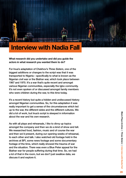# Interview with Nadia Fall

What research did you undertake and did you guide the actors in what research you wanted them to do?

For Inua's adaptation of Chekhov's *Three Sisters*, one of the biggest additions or changes to the script was that it was transported to Nigeria – specifically to what is known as the Nigerian civil war or the Biafran war, which took place between 1967 and 1970. It's a war that's quite recent and amongst various Nigerian communities, especially the Igbo community. It's not even spoken of or discussed amongst family members who were children during the war, to this time today.

It's a recent history but quite a hidden and undiscussed history amongst Nigerian communities. So, for this adaptation it was really important to get a sense of the circumstances which led up to the war, the different sides and the different cultures. We did a lot of work, but Inua's script is steeped in information about the war and his own research.

As with all plays and rehearsals, I like to divvy up topics amongst the company and then we do a kind of show and tell. We researched food, fashion, music and of course the war and then we'd present, during our opening weeks of rehearsal, to each other and talk. I also watched old footage held in the archives at BFI, some news footage and some documentary footage of the time, which really showed the trauma of war and the situation. There was even a Blue Peter appeal for the Biafran war for people suffering during that time. So, we had a lot of that in the room, but we don't just swallow data, we discuss it and explore it.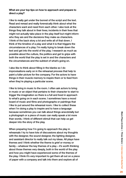#### What are your top tips on how to approach and prepare to direct a play?

I like to really get under the bonnet of the script and the text. Read and reread and really forensically think about what the characters want and need from each other. I also look at the things they talk about in their lives; incidents in their lives that might not actually take place in the play itself but might inform who they are and the decisions they make as characters. I think of the back story a lot and write all of that down. I think of the timeline of a play and what it is that triggers the circumstances of a play. I'm really trying to break down the text and get into the world of the play. I research as much as possible about the culture, the politics and get to grips with both the world that the play is set in and the characters and the circumstances and the subtext of what's going on.

I also like to think about filling in the blanks so I do improvisations early on in the rehearsal process that help to paint a fuller picture for the company. For the actors to have things in their muscle memory to inspire them or to feed from when they're playing a particular scene.

I like to bring in music to the room. I often ask actors to bring in music or an object that pertains to their character to start to trigger the imagination so there is a full and lived in approach to what's going on in each scene. I sometimes have a mood board of music and films and photographs or paintings that I like to put around the rehearsal room. I like to collect these when I'm doing a play to inspire and to have a language because sometimes you can talk about things anecdotally but a photograph or a piece of music can really speak a lot more than words. I think of different stimuli that can help us get deeper into the story of the play.

When preparing how I'm going to approach the play in rehearsals I try to have lots of discussions about my thoughts with the designer, the sound designer, the lighting designer, and assistant director to really talk out my ideas. All plays have themes and I think whether the theme is grief or money or family – whatever the key themes of a play – it's worth thinking about those themes very deeply, both in the world of the play and how you might have experienced some of the themes of the play. I think it's very important to get them all out on a piece of paper with a company and talk into them and explore all of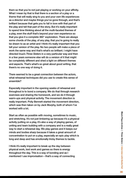them so that you're not just playing or working on your affinity. What I mean by that is that there is a section of a play or a theme that will really sing to you and your own life experiences as a director and maybe things you've gone through, and that's brilliant because that gets you to fall in love with that part of the play and tell that part of the story. But it's really important to spend time thinking about all the multi-faceted themes of a play, even the stuff that's beyond your own experience so that you give it a complete 360° exploration. There are always some chords of the play, of any play, that you're going to really be drawn to as an artist and I think it's really important that you tell your version of the play. No two people will make a piece of work the same way and that's what's so brilliant. I might have directed Inua's *Three Sisters* in a very particular way and then in a few years someone else will do a version of it that might be completely different and shed a light on different themes and aspects. That's what's so great about good writing, that there's no one way of doing it.

There seemed to be a great connection between the actors, what rehearsal techniques did you use to create this sense of ensemble?

Especially important in the opening weeks of rehearsal and throughout is to bond a company. We do that through research exercises and sharing the homework, and we do it through warm-ups and physical activity. The movement direction is really important. Polly Bennett started the movement direction, which was then taken on by Jack Murphy, both of whom I've worked with a lot.

Start as often as possible with moving, sometimes to music, and stretching. It's not just limbering up because it's a physical activity putting on a play, it's also a way of playing games, of uniting and team building with a company and is a really great way to start a rehearsal day. We play games and it keeps our minds and bodies sharp because it takes a great amount of concentration to put on a play, especially an epic play which is long and deep and has emotionally tricky themes to tackle.

I think it's really important to break up the day between physical work, text work and games so there is energy throughout the day. This is a way of bonding and as I mentioned I use improvisation – that's a way of connecting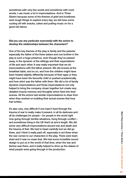sometimes with very few words and sometimes with more words, I use music a lot in improvisations. And in *Three Sisters* because some of the themes of grief and loneliness were tough things to explore every day, we did have some cooling off with snacks, cakes and putting music on for a good old dance.

#### Did you use any particular exercise(s) with the actors to develop the relationships between the characters?

One of the key themes of the play is family and the parents; especially the father of the three sisters and one brother in the play is such a huge presence, even though they've passed away, in the dynamic of the siblings and their expectations of life and each other. It was really important that we do improvisations with the father present. We did scenes at the breakfast table, and so on, and how the children might have been treated slightly differently because of their ages or they might have been the favourite child or pushed academically, and how strict was the father with them. We did a lot of family dynamic improvisations and those improvisations not only helped to bring the company closer together but create very detailed muscle memory and thoughts which feed into their scenes. All the actors had similar improvisations to draw from when they worked on building their actual scenes that Inua had written.

It's also very, very difficult if one hasn't lived through the trauma of war to really make it present, in all its darkness and all its challenges for people – for people in the world right now going through terrible situations, living through conflict – and sometimes living in the UK that's at arm's length. We did some very difficult improvisations around war and death and the trauma of that. We had to tread carefully but we did go there, and I think it really paid off, especially in act three when the war comes to our characters in the play. There were tears shed and it was no mean feat. We had some incredible sound design to put us in the world of that time, when the war and famine was there, and it really helped to drive up the stakes of what people were going through in the production.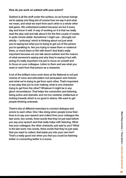#### How do you work on subtext with your actors?

Subtext is all the stuff under the surface, so as human beings we're saying one thing but of course how we say it and what we mean, and what we want from each other is a whole other ball game. We understand subtext because we live it every day and know it well. A way of working on it is that we really read the play well and talk about it for the first couple of weeks in quite minute detail. Sometimes I might use – [though] not strictly – 'actioning' which is thinking about not just what you're saying but what you're trying to get out of the person you're speaking to. Are you trying to tease them or undercut them, or mock them or flirt with them? And that's really important because we can talk about subtext and the nuance of what someone's saying and why they're saying it but with acting it's really important not just to focus on oneself and to focus on your colleague. Listen to them and see what you need or want from that person as a character.

A lot of the brilliant voice work done at the National is not just volume of voice and articulation but persuasion and rhetoric and what we're trying to get from each other. That's important in any play that you're ever making: what is one character trying to get from the other? Whatever it might be in any given circumstance. That helps the connection and listening, being active and dramatic and not too cerebral, intellectual or looking inwards which is no good in drama. We want to get people thinking outwards.

There's lots of different exercises to connect dialogue and actors to each other. One I like doing when people know their lines is to say your speech and collect from your colleague the last word, two words, three words that they've just said before you say your speech and that really helps with listening. What has your colleague, the other character, just said to you? What is the last word, two words, three words that they've just said, that you want to collect, that leads you into your own line? That's a really good one when you feel you could be listening better or connecting better in a scene.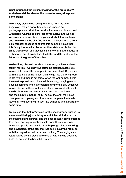What influenced the brilliant staging for the production? And where did the idea for the house to slowly disappear come from?

I work very closely with designers. I like from the very beginning that we swap thoughts and images and photographs and sketches. Katrina Lindsay who I've worked with before was the designer for *Three Sisters* and we had very similar feelings about the play and what it meant to us and how we saw the play. We wanted the house to be a very big character because of course this beautiful house that this family has inherited becomes their status symbol and at times their prison, and they lose it in the end. So, the house is a character, and it symbolises the father and the status of the father and the ghost of the father.

We had long discussions about the scenography – and we fought for this – we didn't want it to be just naturalistic. We wanted it to be a little more poetic and less literal. So, we start with the outside of the house, then we go into the living room in act two and then in act three, when the war comes, it was the most expressionistic idea. All those long, hanging reeds gave an eeriness and a dystopian feeling to the play which we wanted because the country was at war. We wanted to evoke the displacement and terror of war, and the bloodiness of it and the haunting [nature] of it. Then, at the end, the house disappears completely and that's what happens, the family lose their hold over their house – it's symbolic and literal at the same time.

I'm so glad that Katrina's vision for the scenography pushed us away from it being just a living room/kitchen sink drama, that the staging being different and the scenography being different from each scene just pushed it into something a lot more lyrical and poetic and artistic. It really plugged into the feelings and psychology of the play that just being in a living room, as with the original, would have been limiting. The staging was really helped by the brave decisions of Katrina who designed both the set and the beautiful costume.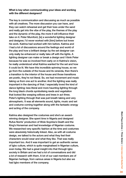#### What is key when communicating your ideas and working with the different designers?

The key is communication and discussing as much as possible with all creatives. The more discussion you can have, and they can watch rehearsal and get their toes under the sand and really get into the vibe of the play, the themes of the play and the dynamic of the play, the more it will influence their take on it. Peter Mumford, [is] a wonderful lighting designer and designer, I'd never worked with [him] before but knew his work. Katrina had worked with him before. Katrina and I had a lot of discussions around the feelings and world of the play and how a brilliant design by the set designer can only really be enhanced or really take off with the lights. A lighting designer can make or break a design and I think Peter because he was so involved from early on in Katrina's vision, he really understood what Katrina wanted for the set and how it could be lit. We have this incredible spinning house, so we go from the outside of the house and its veranda, then there's a transition to the interior of the house and those transitions are poetic, they're not literal. So, we had movement and music taking us from one act to another. And the lighting was really important in the dancing of that. I especially loved the kind of dance lighting: less literal and more haunting lighting through the long black chords symbolising reeds and vegetation that looked like weeping willows and trees in act three. Peter's lighting through that was just breath taking and very atmospheric. It was all elements sound, lights, music and set and costume coming together along with the fantastic energy and acting of the company.

Katrina also designed the costumes and she's an awardwinning designer. She spent time in Nigeria and designed Rufus Norris' production of Wole Soyinka's Death and the King's Horseman and had knowledge of Nigerian costume. We researched very specific fashion at the time and costumes were absolutely historically linked. Also, as with all costume design, we talked to the actors and what they feel their characters would wear and what they like. That was really important too. And it was important to get an authentic sense of Igbo culture, which is quite marginalised in Nigerian culture, even today. We had a great insight into that through Igbo society in Britain and we had a lot of conversations and did a lot of research with them. A lot of our cast members are of Nigerian heritage, from various areas in Nigeria but also we had Igbo members of the company.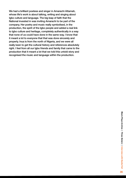We had a brilliant poetess and singer in Amarachi Attamah, whose life's work is about talking, writing and singing about Igbo culture and language. The big leap of faith that the National invested in was inviting Amarachi to be part of the company. Her poetry and music really symbolised, in the production, the spirit of the Igbo people and added a real link to Igbo culture and heritage, completely authentically in a way that none of us could have done in the same way. I know that it meant a lot to everyone that that was done sincerely and properly. Inua is from the north of Nigeria, and we were all really keen to get the cultural history and references absolutely right. I feel from all our Igbo friends and family that came to the production that it meant a lot that we told this untold story and recognised the music and language within the production.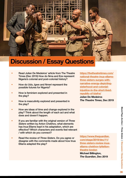

# Discussion / Essay Questions

- Read Julian De Medeiros' article from The Theatre Times (Dec 2019) How do Nma and Eze represent Nigeria's colonial and post-colonial history?
- How do Udo, Igwe and Nmeri represent the possible futures for Nigeria?
- How is feminism explored and presented in the play?
- How is masculinity explored and presented in the play?
- How are ideas of time and change explored in the play? Think about the length of each act and what does and doesn't happen.
- If you are familiar with the original version of *Three Sisters* written by Anton Chekhov, what elements has Inua Ellams kept in his adaptation, which are effective? Which characters and events feel relevant / with which do you connect?
- Read the review of *Three Sisters*. Do you agree or disagree with the comments made about how Inua Ellams adapted the play?

[https://thetheatretimes.com/](https://thetheatretimes.com/national-theatre-inua-ellams-three-sisters-surges-with-narrative-energy-) [national-theatre-inua-ellams](https://thetheatretimes.com/national-theatre-inua-ellams-three-sisters-surges-with-narrative-energy-)[three-sisters-surges-with](https://thetheatretimes.com/national-theatre-inua-ellams-three-sisters-surges-with-narrative-energy-)[narrative-energy-depicting](https://thetheatretimes.com/national-theatre-inua-ellams-three-sisters-surges-with-narrative-energy-)[sisterhood-and-colonial](https://thetheatretimes.com/national-theatre-inua-ellams-three-sisters-surges-with-narrative-energy-)[injustice-in-the-short-lived](https://thetheatretimes.com/national-theatre-inua-ellams-three-sisters-surges-with-narrative-energy-)[republic-of-biafra/](https://thetheatretimes.com/national-theatre-inua-ellams-three-sisters-surges-with-narrative-energy-)

Julian De Medeiros *The Theatre Times*, Dec 2019

[https://www.theguardian.](https://www.theguardian.com/stage/2019/dec/11/three-sisters-review-inua-ellams-chekhov-lyttelton-the) [com/stage/2019/dec/11/](https://www.theguardian.com/stage/2019/dec/11/three-sisters-review-inua-ellams-chekhov-lyttelton-the) [three-sisters-review-inua](https://www.theguardian.com/stage/2019/dec/11/three-sisters-review-inua-ellams-chekhov-lyttelton-the)[ellams-chekhov-lyttelton](https://www.theguardian.com/stage/2019/dec/11/three-sisters-review-inua-ellams-chekhov-lyttelton-the)[theatre-london](https://www.theguardian.com/stage/2019/dec/11/three-sisters-review-inua-ellams-chekhov-lyttelton-the) Michael Billington,

*The Guardian*, Dec 2019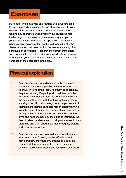# **Exercises**

Be mindful when studying and reading this play; take time to prepare and discuss accents and stereotyping with your students. It is not necessary to 'put on' an accent when reading any character, unless you or your students share the heritage of the character you are reading, and you or your students feel comfortable to speak with this accent. When working on character use the text to build authentic characterisation that does not involve western stereotypical portrayals of an 'African'. Research the correct translation and pronunciation of Igbo and Yoruba words. Agree ways of working with your students that are respectful to the text and heritages of the characters in the play.

## Physical exploration

- 1. Ask your students to find a space in the room and stand with their feet in parallel with the focus on the floor just in front of their feet. Ask them to check how they are standing. Beginning with their feet, ask them to spread their toes and feel the connection through the souls of their feet with the floor, make sure there is a slight bend in their knees, check the placement of their hips, lift their rib cage and feel an energy running from the base of their spine, through their neck and out through the top of their head, and allow the shoulders, arms and hands to hang by the sides of their body. Ask them to stand in silence and to bring awareness to their breathing and think about how their thoughts, breathe and body are connected.
- 2. Ask your students to begin walking around the space at an even pace, focusing on the effort it takes to move and how their thought, breathe and body are connected. Ask your students to find a balance between walking effortlessly and remaining energised.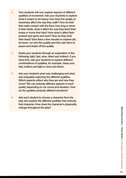- 3. Your students will now explore aspects of different qualities of movement. Ask your students to explore what it means to be heavy; how does the quality of heaviness affect the way they walk? How do their feet make contact with the floor, how long or short is their stride, does it affect the way they bend their knees or move their hips? How does it affect their posture and spine and neck? How do they hold their head? Give them a few minutes to explore (sit, lie down, run etc) this quality and then ask them to pause and shake off the quality.
- 4. Guide your students through an exploration of the following: light, fast, slow, direct and indirect. If you have time, ask your students to explore different combinations of qualities, for example, heavy and fast, indirect and light or slow and direct.
- 5. Ask your students what was challenging and what was enjoyable exploring the different qualities. Which aspects reflect who they are and how they move? We can embody different aspects of each quality depending on our mood and situation. How do the qualities embody different emotions?
- 6. Ask each student to choose a character from the play and explore the different qualities that embody that character. How does the character's physicality change throughout the play?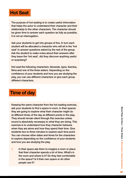

The purpose of hot seating is to create useful information that helps the actor to understand their character and their relationship to the other characters. The character should be given time to answer each question as fully as possible, it is not an interrogation.

Ask your students to get into groups of five. In turn each student will be allocated a character who will sit in the 'hot seat' to answer questions asked by the rest of the group. Ask the student to make notes about their answers after they leave the 'hot seat', did they discover anything useful or surprising?

Hot seat the following characters: Abosede, Igwe, Ikemba, Nma and one of the three sisters. Depending on the confidence of your students and how you are studying the play, you can use different characters or give each group different characters.

### Time of day

Keeping the same character from the hot seating exercise, ask your students to find a space in room. In their spaces they are going to explore what their character might do at different times of the day at different points in the play. They should remain silent through this exercise unless sound is absolutely necessary to what they are doing. This exercise is to understand how they character behaves when they are alone and how they spend their time. Give students two to three minutes to explore each time point. You can choose other dates and times for the characters to explore depending on the confidence of your students and how you are studying the play.

1. In their space ask them to imagine a room or place that their character spends a lot of time. What's in the room and where is it? Do they feel comfortable in the space? Is it their own space or do other people use it?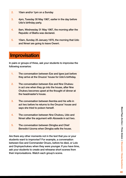- 2. 10am and/or 1pm on a Sunday
- 3. 4pm, Tuesday 30 May 1967, earlier in the day before Udo's birthday party.
- 4. 8am, Wednesday 31 May 1967, the morning after the Republic of Biafra was declared.
- 5. 10am, Sunday 25 January 1970, the morning that Udo and Nmeri are going to leave Owerri.

## **Improvisation**

In pairs or groups of three, ask your students to improvise the following scenarios:

- 1. The conversation between Eze and Igwe just before they arrive at the Onuzos' house for Udo's birthday.
- 2. The conversation between Eze and Nne Chukwu in act one when they go into the house, after Nne Chukwu becomes upset at the thought of dinner at the headmaster's house.
- 3. The conversation between Ikemba and his wife in act two before he returns to the Onuzos' house and says she tried to poison herself.
- 4. The conversation between Nne Chukwu, Udo and Nmeri after the argument with Abosede in act two.
- 5. The conversation between Dimgba and Chief Benedict Uzoma when Dimgba sells the house.

Are there any other moments not in the text that you or your students want to improvise? For example, a conversation between Eze and Commander Onuzo, before he died, or Lolo and Onyinyechukwu when they were younger. If you have time, ask your students to create and rehearse short scenes from their improvisations. Watch each group's scene.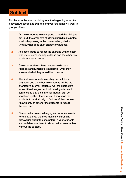## **Subtext**

For this exercise use the dialogue at the beginning of act two between Abosede and Dimgba and your students will work in groups of four.

- 1. Ask two students in each group to read the dialogue out loud, the other two students should make notes: what is happening in the conversation, what is unsaid, what does each character want etc.
- 2. Ask each group to repeat the exercise with the pair who made notes reading out loud and the other two students making notes.
- 3. Give your students three minutes to discuss Abosede and Dimgba's relationship, what they know and what they would like to know.
- 4. The first two students in each group will be a character and the other two students will be the character's internal thoughts. Ask the characters to read the dialogue out loud pausing after each sentence so that their internal thought can be vocalised by the other student. Encourage the students to work slowly to find truthful responses. Allow plenty of time for the students to repeat the exercise.
- 5. Discuss what was challenging and what was useful for the students. Did they make any surprising discoveries about the characters. If your students are confident ask them to show their scenes with or without the subtext.